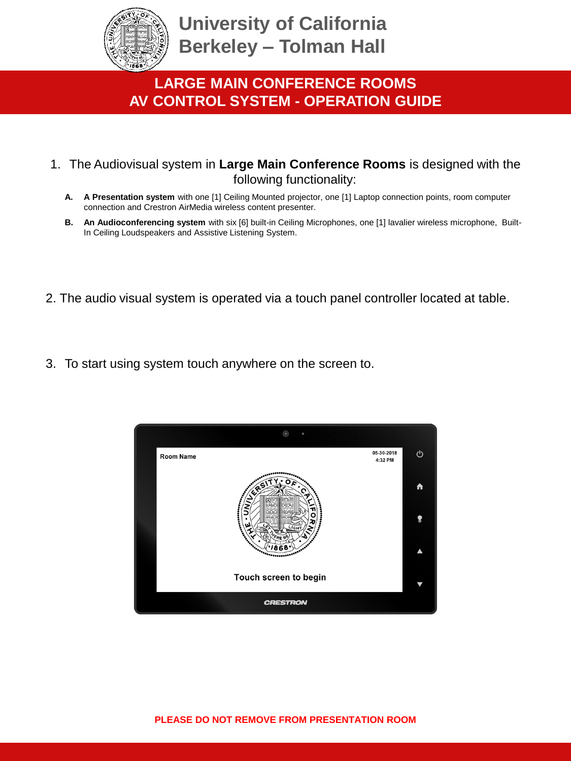

### **LARGE MAIN CONFERENCE ROOMS AV CONTROL SYSTEM - OPERATION GUIDE**

- 1. The Audiovisual system in **Large Main Conference Rooms** is designed with the following functionality:
	- **A. A Presentation system** with one [1] Ceiling Mounted projector, one [1] Laptop connection points, room computer connection and Crestron AirMedia wireless content presenter.
	- **B. An Audioconferencing system** with six [6] built-in Ceiling Microphones, one [1] lavalier wireless microphone, Built-In Ceiling Loudspeakers and Assistive Listening System.
- 2. The audio visual system is operated via a touch panel controller located at table.
- 3. To start using system touch anywhere on the screen to.

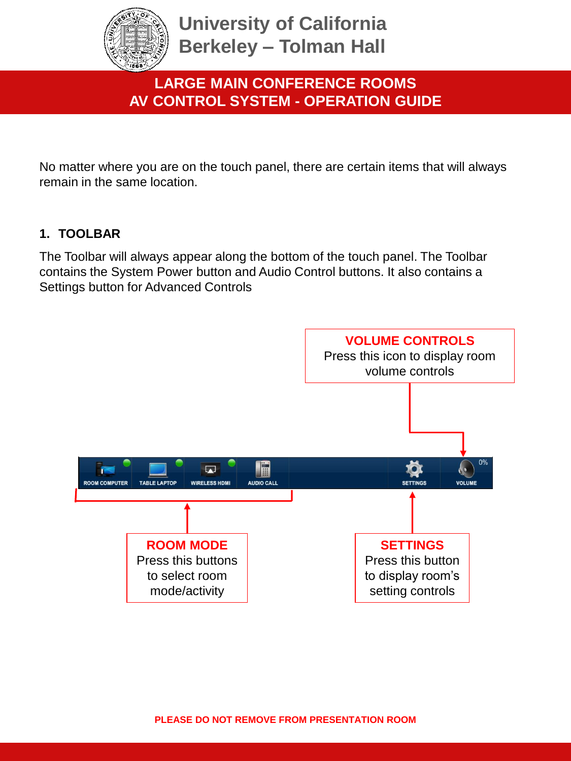

### **LARGE MAIN CONFERENCE ROOMS AV CONTROL SYSTEM - OPERATION GUIDE**

No matter where you are on the touch panel, there are certain items that will always remain in the same location.

#### **1. TOOLBAR**

The Toolbar will always appear along the bottom of the touch panel. The Toolbar contains the System Power button and Audio Control buttons. It also contains a Settings button for Advanced Controls

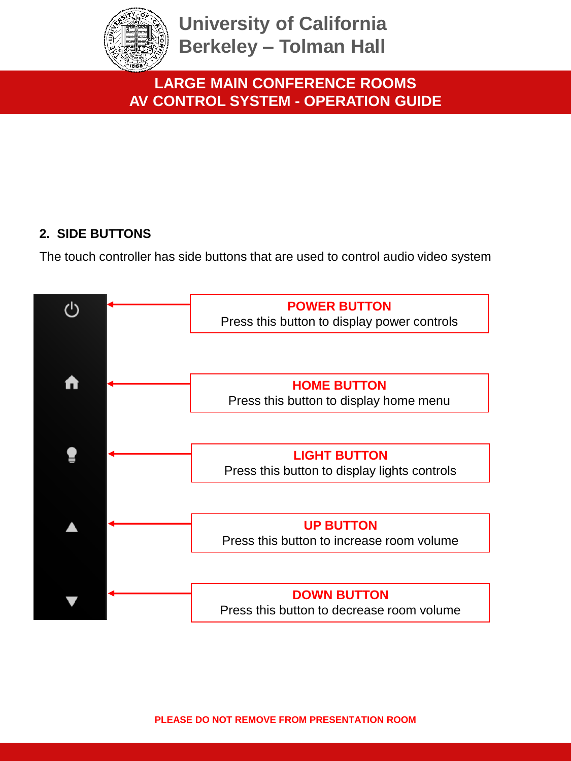

### **LARGE MAIN CONFERENCE ROOMS AV CONTROL SYSTEM - OPERATION GUIDE**

#### **2. SIDE BUTTONS**

The touch controller has side buttons that are used to control audio video system

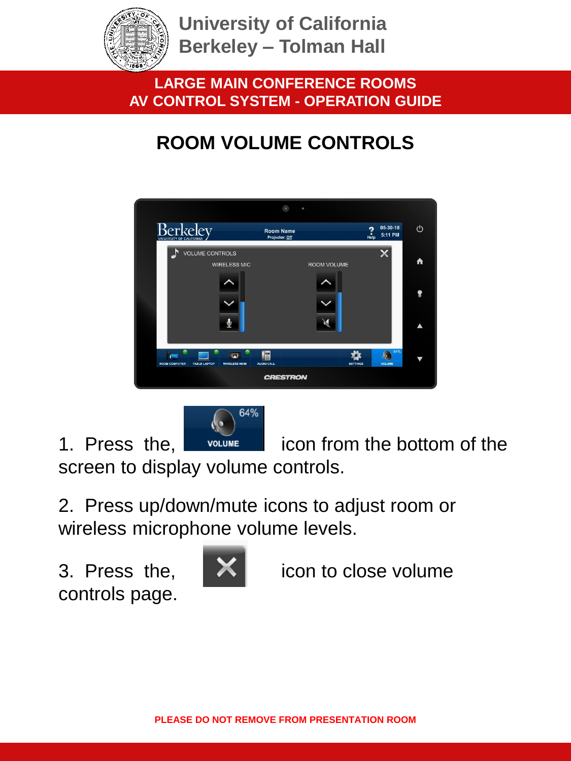

**LARGE MAIN CONFERENCE ROOMS AV CONTROL SYSTEM - OPERATION GUIDE**

# **ROOM VOLUME CONTROLS**

|                                                                     | $\bullet$<br>٠                     |                                                         |  |  |  |  |  |
|---------------------------------------------------------------------|------------------------------------|---------------------------------------------------------|--|--|--|--|--|
| Berkelev<br>UNIVERSITY OF CALIFORNIA                                | <b>Room Name</b><br>Projector: Off | 05-30-18<br>↺<br>2<br>Heip<br>5:11 PM                   |  |  |  |  |  |
| <b>VOLUME CONTROLS</b><br><b>WIRELESS MIC</b>                       | ROOM VOLUME                        | A                                                       |  |  |  |  |  |
|                                                                     |                                    | Չ                                                       |  |  |  |  |  |
|                                                                     |                                    |                                                         |  |  |  |  |  |
| <b>ROOM COMPUTER</b><br><b>TABLE LAPTOP</b><br><b>WIRELESS HDMI</b> | Ē<br><b>AUDIO CALL</b>             | 64%<br>$\mathbf{r}$<br><b>VOLUME</b><br><b>SETTINGS</b> |  |  |  |  |  |
| <b>CRESTRON</b>                                                     |                                    |                                                         |  |  |  |  |  |



1. Press the, **inclume** icon from the bottom of the

screen to display volume controls.

2. Press up/down/mute icons to adjust room or wireless microphone volume levels.

controls page.



3. Press the,  $\mathbb{R}$  icon to close volume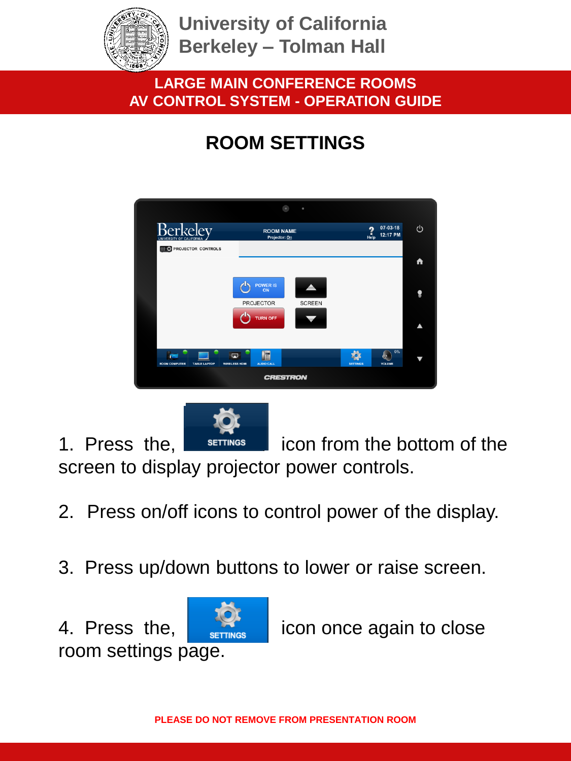

### **LARGE MAIN CONFERENCE ROOMS AV CONTROL SYSTEM - OPERATION GUIDE**

# **ROOM SETTINGS**





- 2. Press on/off icons to control power of the display.
- 3. Press up/down buttons to lower or raise screen.



4. Press the,  $\frac{1}{\sqrt{2}}$  icon once again to close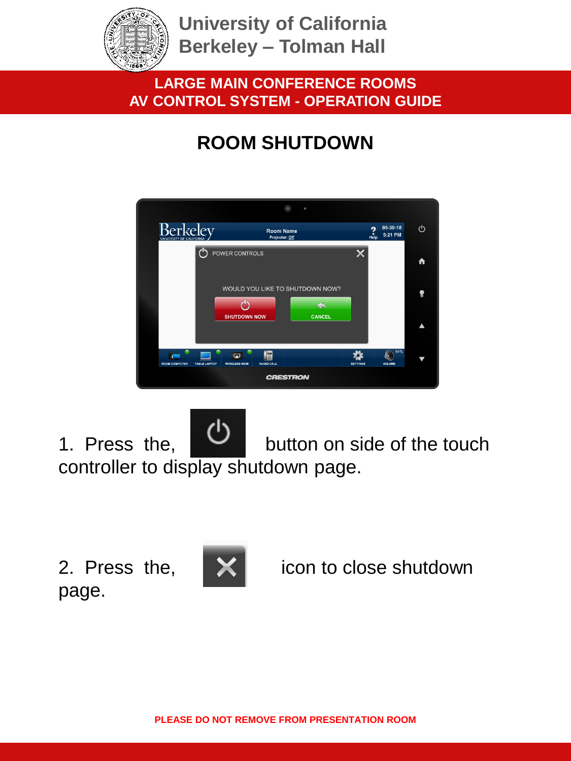

### **LARGE MAIN CONFERENCE ROOMS AV CONTROL SYSTEM - OPERATION GUIDE**

## **ROOM SHUTDOWN**



1. Press the, **button** on side of the touch controller to display shutdown page.

page.



2. Press the, **X** icon to close shutdown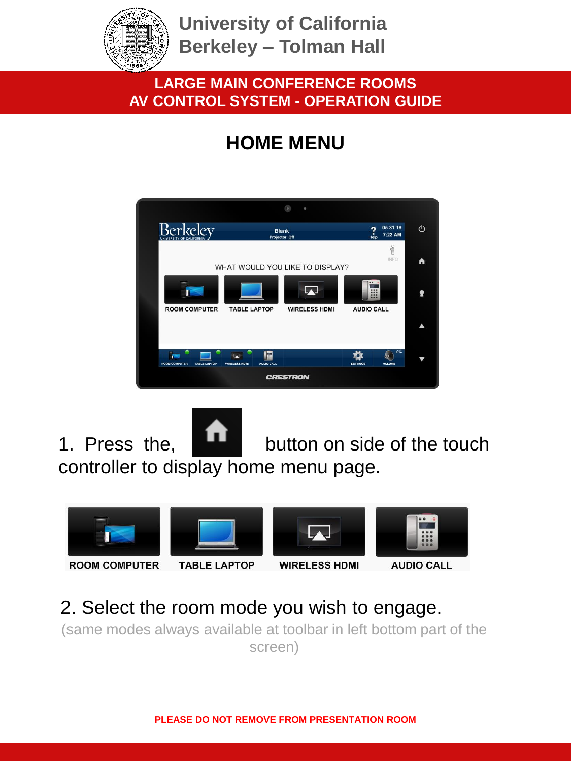

### **LARGE MAIN CONFERENCE ROOMS AV CONTROL SYSTEM - OPERATION GUIDE**

# **HOME MENU**



1. Press the, **button** on side of the touch controller to display home menu page.



### 2. Select the room mode you wish to engage.

(same modes always available at toolbar in left bottom part of the screen)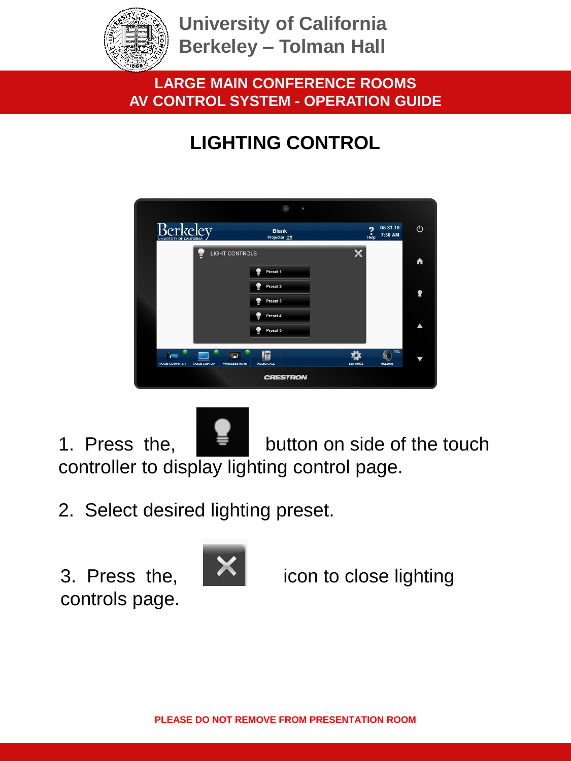

### **LARGE MAIN CONFERENCE ROOMS AV CONTROL SYSTEM - OPERATION GUIDE**

# **LIGHTING CONTROL**

|                                             |                                                  | $\bullet$                      | $\circ$         |                                              |    |
|---------------------------------------------|--------------------------------------------------|--------------------------------|-----------------|----------------------------------------------|----|
| <b>Berkelev</b><br>UNIVERSITY OF CALIFORNIA |                                                  | <b>Blank</b><br>Projector: Off |                 | 05-31-18<br>$\frac{2}{\text{He}}$<br>7:30 AM | U  |
|                                             | <b>LIGHT CONTROLS</b>                            |                                |                 |                                              | A  |
|                                             |                                                  | Ð<br>Preset 1<br>Preset 2      |                 |                                              |    |
|                                             |                                                  | Preset 3                       |                 |                                              | Չ  |
|                                             |                                                  | Preset 4<br>Preset 5           |                 |                                              | ▲  |
|                                             |                                                  |                                |                 |                                              | 0% |
| <b>ROOM COMPUTER</b>                        | 闁<br><b>WIRELESS HDMI</b><br><b>TABLE LAPTOP</b> | E<br>AUDIO CALL                | <b>SETTINGS</b> | ķ.<br>VOLUME                                 | ₩  |
|                                             |                                                  | <b>CRESTRON</b>                |                 |                                              |    |

1. Press the,  $\frac{1}{2}$  button on side of the touch controller to display lighting control page.

2. Select desired lighting preset.

controls page.



3. Press the,  $\left\lfloor \bigwedge \right\rfloor$  icon to close lighting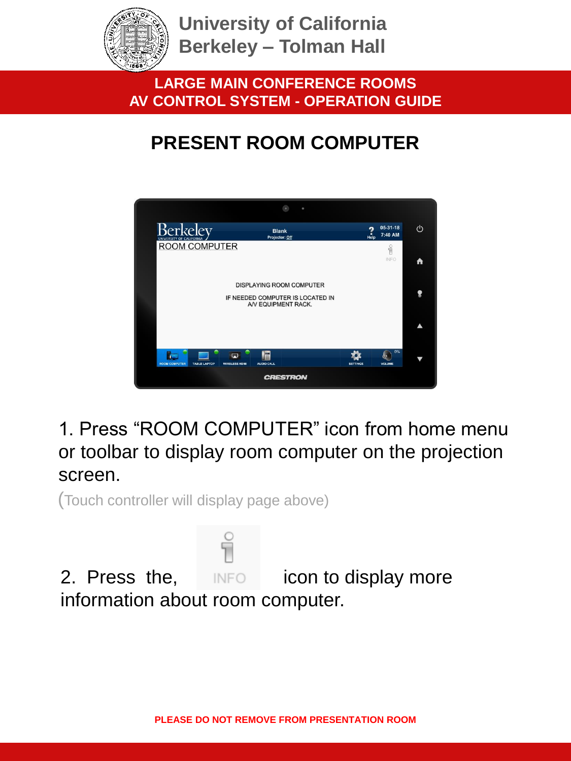

**LARGE MAIN CONFERENCE ROOMS AV CONTROL SYSTEM - OPERATION GUIDE**

# **PRESENT ROOM COMPUTER**



1. Press "ROOM COMPUTER" icon from home menu or toolbar to display room computer on the projection screen.

(Touch controller will display page above)

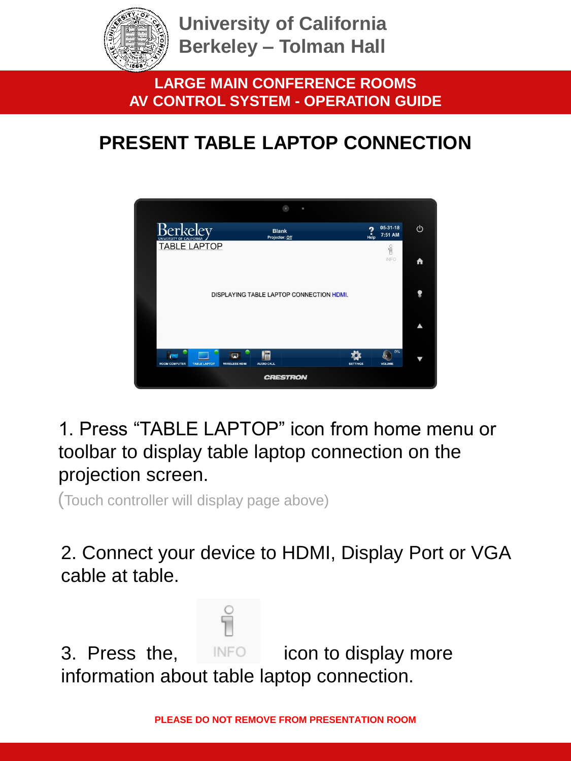

**LARGE MAIN CONFERENCE ROOMS AV CONTROL SYSTEM - OPERATION GUIDE**

# **PRESENT TABLE LAPTOP CONNECTION**



1. Press "TABLE LAPTOP" icon from home menu or toolbar to display table laptop connection on the projection screen.

(Touch controller will display page above)

2. Connect your device to HDMI, Display Port or VGA cable at table.

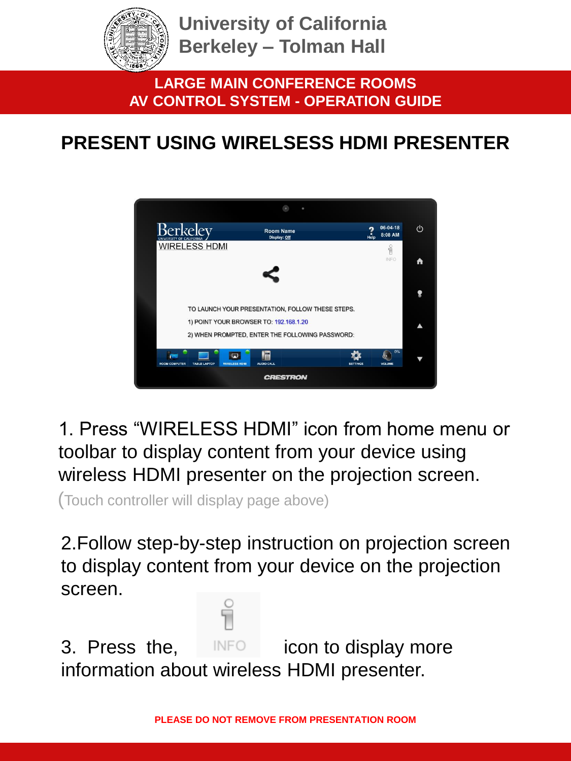

**LARGE MAIN CONFERENCE ROOMS AV CONTROL SYSTEM - OPERATION GUIDE**

## **PRESENT USING WIRELSESS HDMI PRESENTER**



1. Press "WIRELESS HDMI" icon from home menu or toolbar to display content from your device using wireless HDMI presenter on the projection screen.

(Touch controller will display page above)

2.Follow step-by-step instruction on projection screen to display content from your device on the projection screen.

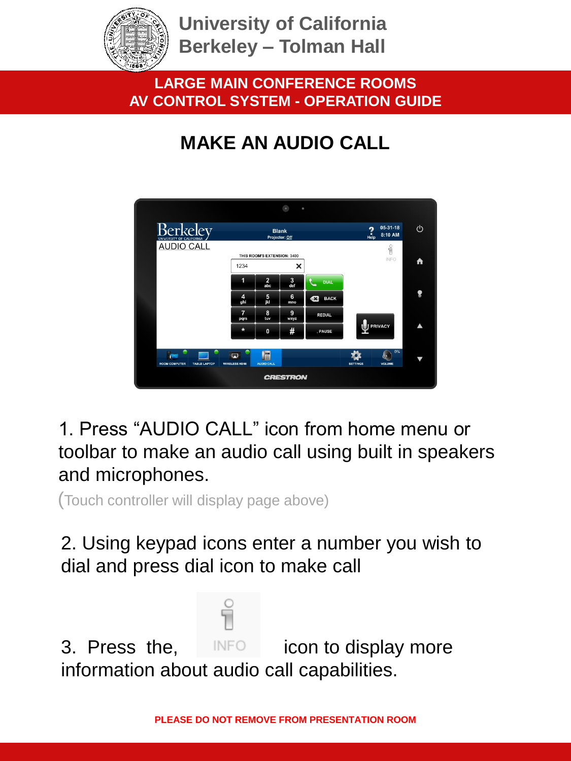

### **LARGE MAIN CONFERENCE ROOMS AV CONTROL SYSTEM - OPERATION GUIDE**

# **MAKE AN AUDIO CALL**



1. Press "AUDIO CALL" icon from home menu or toolbar to make an audio call using built in speakers and microphones.

(Touch controller will display page above)

2. Using keypad icons enter a number you wish to dial and press dial icon to make call

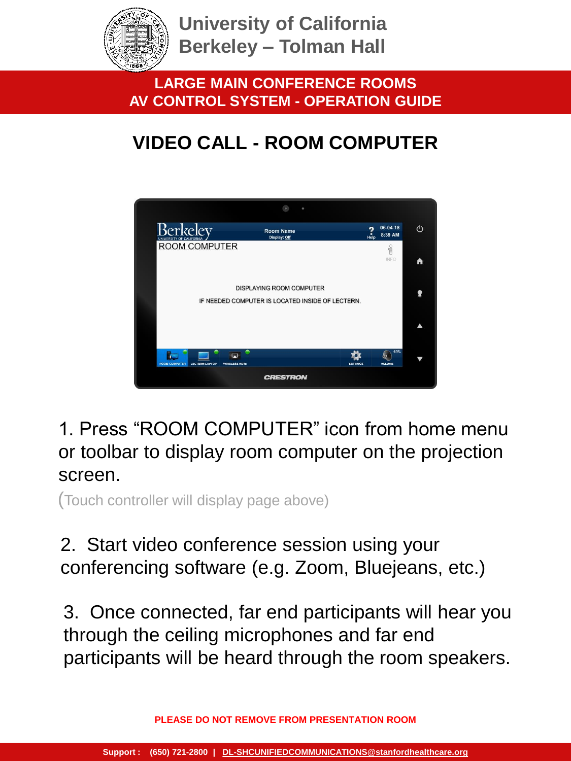

**LARGE MAIN CONFERENCE ROOMS AV CONTROL SYSTEM - OPERATION GUIDE**

# **VIDEO CALL - ROOM COMPUTER**



1. Press "ROOM COMPUTER" icon from home menu or toolbar to display room computer on the projection screen.

(Touch controller will display page above)

### 2. Start video conference session using your conferencing software (e.g. Zoom, Bluejeans, etc.)

3. Once connected, far end participants will hear you through the ceiling microphones and far end participants will be heard through the room speakers.